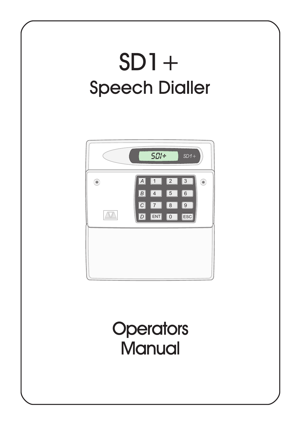# $SD1+$ **Speech Dialler**



## **Operators** Manual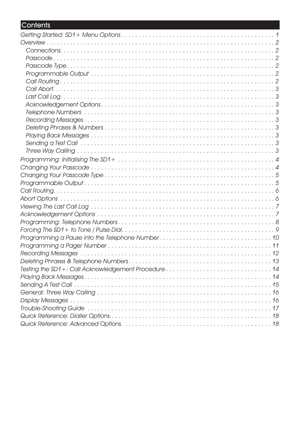## Contents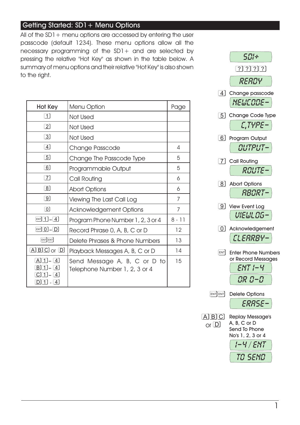#### Getting Started: SD1 + Menu Options

All of the  $SD1+$  menu options are accessed by entering the user passcode (default 1234). These menu options allow all the necessary programming of the SD1+ and are selected by pressing the relative "Hot Key" as shown in the table below. A summary of menu options and their relative "Hot Key" is also shown to the right.

| Hot Key                                            | Menu Option                                                   | Page     |
|----------------------------------------------------|---------------------------------------------------------------|----------|
| $\overline{1}$                                     | Not Used                                                      |          |
| $\lceil 2 \rceil$                                  | Not Used                                                      |          |
| $\lceil 3 \rceil$                                  | Not Used                                                      |          |
| $\boxed{4}$                                        | Change Passcode                                               | 4        |
| $\boxed{5}$                                        | Change The Passcode Type                                      | 5        |
| $\lceil 6 \rceil$                                  | Programmable Output                                           | 5        |
| $\boxed{7}$                                        | Call Routing                                                  | 6        |
| $\lceil 8 \rceil$                                  | <b>Abort Options</b>                                          | 6        |
| ි9]                                                | Viewing The Last Call Log                                     | 7        |
| $\lceil 0 \rceil$                                  | <b>Acknowledgement Options</b>                                | 7        |
| $\boxed{\text{ENT}}\boxed{1} - \boxed{4}$          | Program Phone Number 1, 2, 3 or 4                             | $8 - 11$ |
| $ENT$ $0$ $ D$                                     | Record Phrase 0, A, B, C or D                                 | 12       |
| ENTENT                                             | Delete Phrases & Phone Numbers                                | 13       |
| $[A]$ $B]$ $C$ $I$ or $[D]$                        | Playback Messages A, B, C or D                                | 14       |
| $[A][1] - [4]$<br>BI 1<br>4 <br>1<br>4<br>4]<br>11 | Send Message A, B, C or D to<br>Telephone Number 1, 2, 3 or 4 | 15       |



1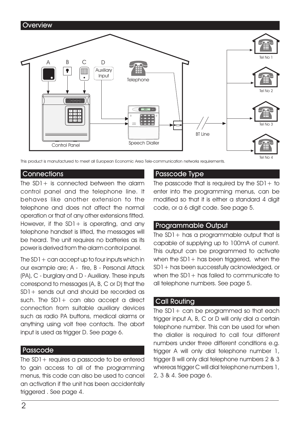

This product is manufactured to meet all European Economic Area Tele-communication networks requirements.

#### Connections

The  $SD1+$  is connected between the alarm control panel and the telephone line. It behaves like another extension to the telephone and does not affect the normal operation or that of any other extensions fitted. However, if the  $SD1+$  is operating, and any telephone handset is lifted, the messages will be heard. The unit requires no batteries as its power is derived from the alarm control panel.

The  $SD1 + can accept up to four inputs which in$ our example are; A - fire, B - Personal Attack (PA), C - burglary and D - Auxiliary. These inputs correspond to messages (A, B, C or D) that the SD1+ sends out and should be recorded as such. The SD1+ can also accept a direct connection from suitable auxiliary devices such as radio PA buttons, medical alarms or anything using volt free contacts. The abort input is used as trigger D. See page 6.

#### Passcode

The  $SD1+$  requires a passcode to be entered to gain access to all of the programming menus, this code can also be used to cancel an activation if the unit has been accidentally triggered . See page 4.

#### Passcode Type

The passcode that is required by the  $SD1+$  to enter into the programming menus, can be modified so that it is either a standard 4 digit code, or a 6 digit code. See page 5.

#### Programmable Output

The SD1+ has a programmable output that is capable of supplying up to 100mA of current. This output can be programmed to activate when the  $SD1+$  has been triggered, when the SD1+ has been successfully acknowledged, or when the  $SD1+$  has failed to communicate to all telephone numbers. See page 5.

#### Call Routing

The  $SD1+$  can be programmed so that each trigger input A, B, C or D will only dial a certain telephone number. This can be used for when the dialler is required to call four different numbers under three different conditions e.g. trigger A will only dial telephone number 1, trigger B will only dial telephone numbers 2 & 3 whereas trigger C will dial telephone numbers 1, 2, 3 & 4. See page 6.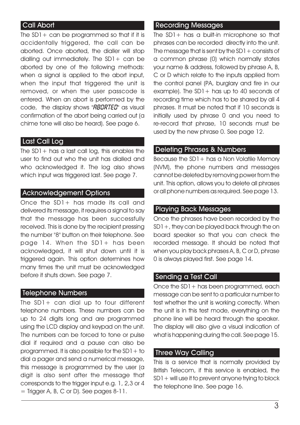#### Call Abort

The  $SD1+$  can be programmed so that if it is accidentally triggered, the call can be aborted. Once aborted, the dialler will stop dialling out immediately. The SD1+ can be aborted by one of the following methods: when a signal is applied to the abort input, when the input that triggered the unit is removed, or when the user passcode is entered. When an abort is performed by the code, the display shows " $BBIRTED$ " as visual confirmation of the abort being carried out (a chime tone will also be heard). See page 6.

#### Last Call Log

The  $SD1+$  has a last call log, this enables the user to find out who the unit has dialled and who acknowledged it. The log also shows which input was triggered last. See page 7.

#### Acknowledgement Options

Once the SD1+ has made its call and delivered its message, it requires a signal to say that the message has been successfully received. This is done by the recipient pressing the number "8" button on their telephone. See page 14. When the SD1+ has been acknowledged, it will shut down until it is triggered again. This option determines how many times the unit must be acknowledged before it shuts down. See page 7.

#### Telephone Numbers

The SD1+ can dial up to four different telephone numbers. These numbers can be up to 24 digits long and are programmed using the LCD display and keypad on the unit. The numbers can be forced to tone or pulse dial if required and a pause can also be programmed. It is also possible for the  $SD1 +$  to dial a pager and send a numerical message, this message is programmed by the user (a digit is also sent after the message that corresponds to the trigger input e.g. 1, 2,3 or 4  $=$  Trigger A, B, C or D). See pages  $8-11$ .

#### Recording Messages

The SD1+ has a built-in microphone so that phrases can be recorded directly into the unit. The message that is sent by the  $SD1 +$  consists of a common phrase (0) which normally states your name & address, followed by phrase A, B, C or D which relate to the inputs applied from the control panel (PA, burglary and fire in our example). The  $SD1+$  has up to 40 seconds of recording time which has to be shared by all 4 phrases. It must be noted that if 10 seconds is initially used by phrase 0 and you need to re-record that phrase, 10 seconds must be used by the new phrase 0. See page 12.

#### Deleting Phrases & Numbers

Because the SD1 + has a Non Volatile Memory (NVM), the phone numbers and messages cannot be deleted by removing power from the unit. This option, allows you to delete all phrases or all phone numbers as required. See page 13.

#### Playing Back Messages

Once the phrases have been recorded by the SD1+, they can be played back through the on board speaker so that you can check the recorded message. It should be noted that when you play back phrases A, B, C or D, phrase 0 is always played first. See page 14.

#### Sending a Test Call

Once the SD1+ has been programmed, each message can be sent to a particular number to test whether the unit is working correctly. When the unit is in this test mode, everything on the phone line will be heard through the speaker. The display will also give a visual indication of what is happening during the call. See page 15.

#### Three Way Calling

This is a service that is normally provided by British Telecom, if this service is enabled, the SD1+ will use it to prevent anyone trying to block the telephone line. See page 16.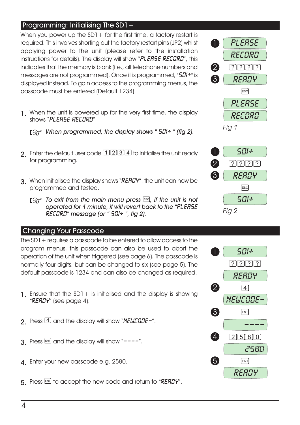#### Programming: Initialising The  $SD1+$

When you power up the  $SD1+$  for the first time, a factory restart is required. This involves shorting out the factory restart pins (JP2) whilst applying power to the unit (please refer to the installation instructions for details). The display will show " $PLESSE REEBRD$ ", this indicates that the memory is blank (i.e., all telephone numbers and messages are not programmed). Once it is programmed, "501+" is displayed instead. To gain access to the programming menus, the passcode must be entered (Default 1234).

1. When the unit is powered up for the very first time, the display shows "PLERSE RECORD".

+ *When programmed, the display shows " " (fig 2).*

- 2. Enter the default user code  $1234$  to initialise the unit ready for programming.
- 3 When initialised the display shows "RERDY", the unit can now be programmed and tested.
	- $\mathbb{R}\rightarrow$  *To exit from the main menu press*  $\stackrel{\text{\tiny{ESO}}}{\phantom{}_{\sim}}$  *if the unit is not operated for 1 minute, it will revert back to the " " message (or " ", fig 2).*

#### Changing Your Passcode

The SD1+ requires a passcode to be entered to allow access to the program menus, this passcode can also be used to abort the operation of the unit when triggered (see page 6). The passcode is normally four digits, but can be changed to six (see page 5). The default passcode is 1234 and can also be changed as required.

- 1. Ensure that the  $SD1+$  is initialised and the display is showing " **READY**" (see page 4).
- 2 Press 4 and the display will show "NELICODE-".
- 3. Press  $\boxed{\phantom{a}8}$  and the display will show  $\degree$ ---".
- 4. Enter your new passcode e.g. 2580.
- 5. Press  $\mathbb{F}$  to accept the new code and return to "RERDY".





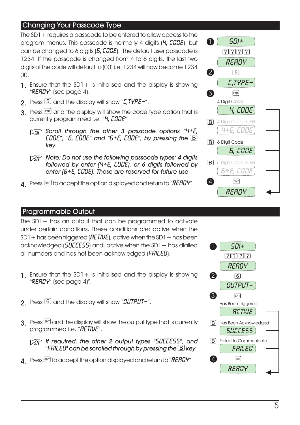#### Changing Your Passcode Type

The SD1+ requires a passcode to be entered to allow access to the program menus. This passcode is normally 4 digits  $(4, \angle GDE)$ , but can be changed to 6 digits  $(5, \text{LUSE})$ . The default user passcode is 1234. If the passcode is changed from 4 to 6 digits, the last two digits of the code will default to (00) i.e. 1234 will now become 1234 00.

- 1. Ensure that the  $SD1+$  is initialised and the display is showing "READY" (see page 4).
- 2. Press  $\boxed{5}$  and the display will show " $\sqrt{2}$ ,  $\sqrt{7}$   $\sqrt{7}$   $\sqrt{2}$  = ".
- $3$  Press  $\mathbb{R}$  and the display will show the code type option that is currently programmed i.e. "4, *LODE"*.
	- + *Scroll through the other 3 passcode options " CODE"*, "5, *CODE"* and "5+*E*, *CODE"*, by pressing the **B** *key.*
	- + *Note: Do not use the following passcode types: 4 digits followed by enter (4+E, EBBE), or 6 digits followed by enter ( ). These are reserved for future use*
- $\Delta$  Press  $\mathbb{F}$  to accept the option displayed and return to "READY".



#### Programmable Output

The  $SD1+$  has an output that can be programmed to activate under certain conditions. These conditions are: active when the  $SD1 + has been triggered (HETIVE)$ , active when the  $SD1 + has been$ acknowledged ( $5ULE55$ ) and, active when the SD1 + has dialled all numbers and has not been acknowledged  $(FRILES)$ .

- 1. Ensure that the  $SD1+$  is initialised and the display is showing "READY" (see page 4)".
- 2. Press  $\boxed{6}$  and the display will show "*QUTPUT-"*.
- $3.$  Press  $\mathbb{R}$  and the display will show the output type that is currently programmed i.e. "**RETIVE**".

*If required, the other 2 output types "5UEEE55", and " " can be scrolled through by pressing the key.*

 $\Delta$  Press  $\mathbb{F}$  to accept the option displayed and return to "RERDH".

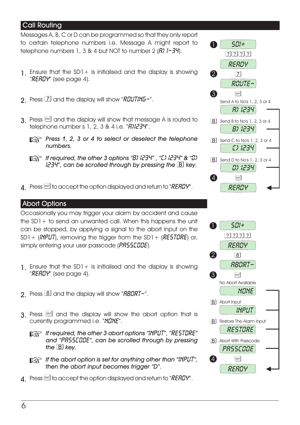#### Call Routing

Messages A, B, C or D can be programmed so that they only report to certain telephone numbers i.e. Message A might report to telephone numbers 1, 3 & 4 but NOT to number 2  $(B)$   $I-JY$ .

- 1. Ensure that the SD1+ is initialised and the display is showing " *RERDY"* (see page 4).
- **2** Press  $\boxed{Z}$  and the display will show " $\frac{R}{W}$ .
- $3$  Press  $\boxed{\phantom{0}8}$  and the display will show that message A is routed to telephone number s 1, 2, 3 & 4 i.e.  $\sqrt{H}$  $H$  $H$  $H$  $H$ .
	- *<u>Paulic</u> Press 1, 2, 3 or 4 to select or deselect the telephone numbers.*
	- *If required, the other 3 options "B) I234", "[) I234" & " ", can be scrolled through by pressing the key.*
- $\Delta$  Press  $\text{EM}$  to accept the option displayed and return to "READY".

#### Abort Options

Occasionally you may trigger your alarm by accident and cause the SD1+ to send an unwanted call. When this happens the unit can be stopped, by applying a signal to the abort input on the  $SD1 + (INPUT)$ , removing the trigger from the  $SD1 + (RESTURE)$  or, simply entering your user passcode (PR55EBBE).

- 1. Ensure that the SD1+ is initialised and the display is showing "READY" (see page 4).
- 2. Press  $\boxed{8}$  and the display will show " $\frac{1}{2}$   $\frac{1}{2}$   $\frac{1}{2}$   $\frac{1}{2}$   $\frac{1}{2}$   $\frac{1}{2}$
- $3$ . Press  $\mathbb{R}$  and the display will show the abort option that is currently programmed i.e. "NONE".
	- **1 [** $\circled{3}$  If required, the other 3 abort options "INPUT", "RESTURE" and "PR55EBBE", can be scrolled through by pressing *the key.*
	- + *If the abort option is set for anything other than " ", then the abort input becomes trigger "D".*
- $\Lambda$  Press ENT to accept the option displayed and return to "REFIDY".

![](_page_7_Figure_16.jpeg)

![](_page_7_Figure_17.jpeg)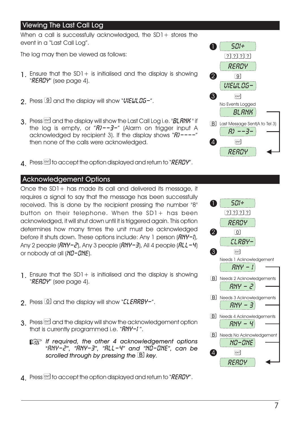#### Viewing The Last Call Log

When a call is successfully acknowledged, the  $SD1+$  stores the event in a "Last Call Log".

The log may then be viewed as follows:

- 1. Ensure that the  $SD1+$  is initialised and the display is showing " **READY**" (see page 4).
- $2$  Press  $9$  and the display will show "*VIEUL 05-"*.
- 3. Press [ENT] and the display will show the Last Call Log i.e. "BLANK" if the log is empty, or " $R$ ) -- $3$ -" (Alarm on trigger input A acknowledged by recipient 3). If the display shows " $\hat{H}$ ) ----" then none of the calls were acknowledged.
- $\Delta$  Press  $\mathbb{F}$  to accept the option displayed and return to "REFIDH".

#### Acknowledgement Options

Once the SD1 + has made its call and delivered its message, it requires a signal to say that the message has been successfully received. This is done by the recipient pressing the number "8" button on their telephone. When the SD1+ has been acknowledged, it will shut down until it is triggered again. This option determines how many times the unit must be acknowledged before it shuts down. These options include: Any 1 person  $(RNY-1)$ , Any 2 people  $(RNY-\bar{c})$ , Any 3 people  $(RNY-\bar{d})$ , All 4 people  $(RLL-\bar{d})$ or nobody at all  $(ND - DNE)$ .

- 1. Ensure that the  $SD1+$  is initialised and the display is showing " **READY**" (see page 4).
- 2. Press  $\Omega$  and the display will show "*ELERRBY-"*.
- 3. Press  $\boxed{\phantom{a}^{87}}$  and the display will show the acknowledgement option that is currently programmed i.e. " $RNT-1$ ".
	- + *If required, the other 4 acknowledgement options "ANY-2", " ", " " and " ", can be scrolled through by pressing the key.*
- $\Delta$  Press  $\mathbb{F}$  to accept the option displayed and return to "RERDH".

![](_page_8_Figure_14.jpeg)

![](_page_8_Figure_15.jpeg)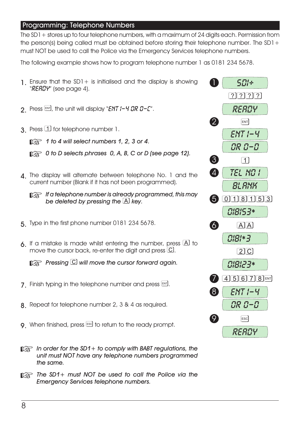#### Programming: Telephone Numbers

The SD1+ stores up to four telephone numbers, with a maximum of 24 digits each. Permission from the person(s) being called must be obtained before storing their telephone number. The SD1+ must NOT be used to call the Police via the Emergency Services telephone numbers.

The following example shows how to program telephone number 1 as 0181 234 5678.

![](_page_9_Figure_3.jpeg)

+ *The SD1+ must NOT be used to call the Police via the Emergency Services telephone numbers.*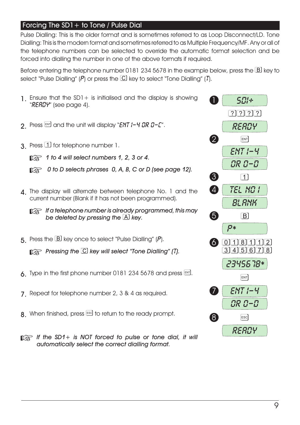#### Forcing The  $SD1+$  to Tone / Pulse Dial

Pulse Dialling: This is the older format and is sometimes referred to as Loop Disconnect/LD. Tone Dialling: This is the modern format and sometimes referred to as Multiple Frequency/MF. Any or all of the telephone numbers can be selected to override the automatic format selection and be forced into dialling the number in one of the above formats if required.

Before entering the telephone number 0181 234 5678 in the example below, press the  $B$  key to select "Pulse Dialling" ( $\vec{P}$ ) or press the  $\overline{\mathbb{C}}$  key to select "Tone Dialling" ( $\vec{l}$ ).

![](_page_10_Figure_3.jpeg)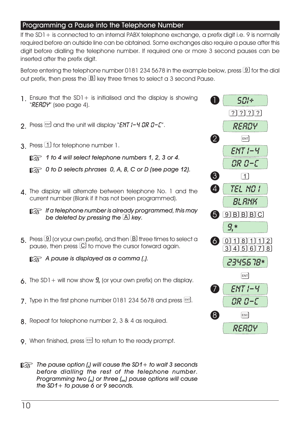#### Programming a Pause into the Telephone Number

If the  $SD1+$  is connected to an internal PABX telephone exchange, a prefix digit i.e. 9 is normally required before an outside line can be obtained. Some exchanges also require a pause after this digit before dialling the telephone number. If required one or more 3 second pauses can be inserted after the prefix digit.

Before entering the telephone number 0181 234 5678 in the example below, press  $9$  for the dial out prefix, then press the  $B$  key three times to select a 3 second Pause.

![](_page_11_Figure_3.jpeg)

- **9** When finished, press **ESG** to return to the ready prompt.
- + *The pause option ( ) will cause the SD1+ to wait 3 seconds before dialling the rest of the telephone number. Programming two ( ) or three ( ) pause options will cause the SD1+ to pause 6 or 9 seconds.*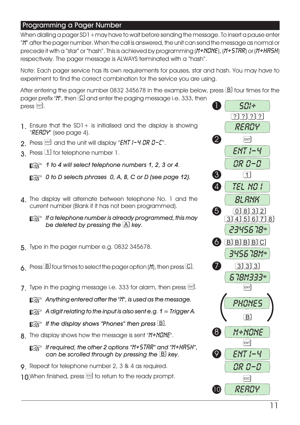#### Programming a Pager Number

When dialling a pager SD1 + may have to wait before sending the message. To insert a pause enter "M" after the pager number. When the call is answered, the unit can send the message as normal or precede it with a "star" or "hash". This is achieved by programming ( $M+NLNE$ ), ( $M+5TRR$ ) or ( $M+HRSH$ ) respectively. The pager message is ALWAYS terminated with a "hash".

Note: Each pager service has its own requirements for pauses, star and hash. You may have to experiment to find the correct combination for the service you are using.

After entering the pager number 0832 345678 in the example below, press  $\boxtimes$  four times for the pager prefix " $''$ ", then  $\Omega$  and enter the paging message i.e. 333, then  $p$ ress  $[EM]$ .

- 1. Ensure that the  $SD1+$  is initialised and the display is showing " **READY"** (see page 4).
- 2. Press  $\overline{P}$  and the unit will display "ENT  $I 4$  GR  $B C$ ".
- 3 Press  $\overline{1}$  for telephone number 1.

+ *1 to 4 will select telephone numbers 1, 2, 3 or 4.*

+ *0 to D selects phrases 0, A, B, C or D (see page 12).*

1 The display will alternate between telephone No. 1 and the current number (Blank if it has not been programmed).

+ *If a telephone number is already programmed, this may be deleted by pressing the key.*

- 5. Type in the pager number e.g. 0832 345678.
- 6. Press  $\boxdot$  four times to select the pager option ( $M$ ), then press  $\boxdot$ .
- 7. Type in the paging message i.e. 333 for alarm, then press  $[III]$ .

+ *Anything entered after the " ", is used as the message.*

+ *A digit relating to the input is also sent e.g. 1 = Trigger A.*

 $\mathbb{R}$  If the display shows "Phones" then press  $\mathbb{B}$ .

8. The display shows how the message is sent " $M + N G N E$ ".

**If required, the other 2 options "M+5TRR" and "M+HR5H",** *can be scrolled through by pressing the key.*

9. Repeat for telephone number 2, 3 & 4 as required.

10.When finished, press [ssc] to return to the ready prompt.

![](_page_12_Figure_21.jpeg)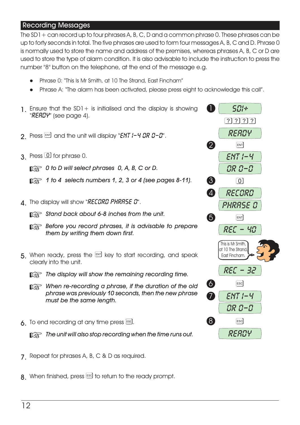#### Recording Messages

The SD1 + can record up to four phrases A, B, C, D and a common phrase 0. These phrases can be up to forty seconds in total. The five phrases are used to form four messages A, B, C and D. Phrase 0 is normally used to store the name and address of the premises, whereas phrases A, B, C or D are used to store the type of alarm condition. It is also advisable to include the instruction to press the number "8" button on the telephone, at the end of the message e.g.

- l Phrase 0: "This Is Mr Smith, at 10 The Strand, East Fincham"
- Phrase A: "The alarm has been activated, please press eight to acknowledge this call".
- 1. Ensure that the  $SD1+$  is initialised and the display is showing " **READY"** (see page 4).
- 2. Press  $\overline{[}^{8}$  and the unit will display "ENT  $1 4$  DR  $0 0$ ".
- 3. Press 1 for phrase 0.

+ *0 to D will select phrases 0, A, B, C or D.*

- + *1 to 4 selects numbers 1, 2, 3 or 4 (see pages 8-11).*
- $\Lambda$  The display will show "RECORD PHRASE D".
	- + *Stand back about 6-8 inches from the unit.*
	- + *Before you record phrases, it is advisable to prepare them by writing them down first.*
- 5. When ready, press the  $\overline{M}$  key to start recording, and speak clearly into the unit.
	- + *The display will show the remaining recording time.*
	- + *When re-recording a phrase, if the duration of the old phrase was previously 10 seconds, then the new phrase must be the same length.*
- $6.$  To end recording at any time press  $50$ .

**The unit will also stop recording when the time runs out.** 

- 7 Repeat for phrases A, B, C & D as required.
- $8.$  When finished, press  $\epsilon$  to return to the ready prompt.

![](_page_13_Figure_19.jpeg)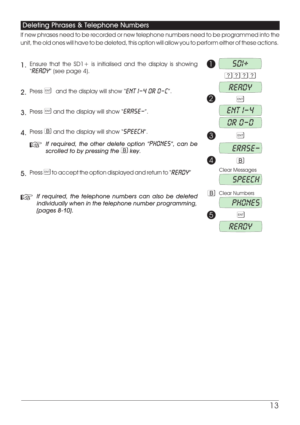#### Deleting Phrases & Telephone Numbers

If new phrases need to be recorded or new telephone numbers need to be programmed into the unit, the old ones will have to be deleted, this option will allow you to perform either of these actions.

![](_page_14_Figure_2.jpeg)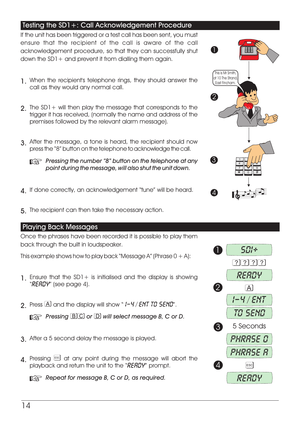#### Testing the SD1+: Call Acknowledgement Procedure

If the unit has been triggered or a test call has been sent, you must ensure that the recipient of the call is aware of the call acknowledgement procedure, so that they can successfully shut down the  $SD1+$  and prevent it from dialling them again.

- 1. When the recipient's telephone rings, they should answer the call as they would any normal call.
- 2. The SD1+ will then play the message that corresponds to the trigger it has received, (normally the name and address of the premises followed by the relevant alarm message).
- 3. After the message, a tone is heard, the recipient should now press the "8" button on the telephone to acknowledge the call.
	- + *Pressing the number "8" button on the telephone at any point during the message, will also shut the unit down.*
- 4. If done correctly, an acknowledgement "tune" will be heard.
- 5. The recipient can then take the necessary action.

#### Playing Back Messages

Once the phrases have been recorded it is possible to play them back through the built in loudspeaker.

This example shows how to play back "Message A" (Phrase  $0 + A$ ):

- **1.** Ensure that the SD1 + is initialised and the display is showing " READY" (see page 4).
- **2.** Press  $\overline{A}$  and the display will show "  $1 4$  / ENT TO 5END".

*p***<sub>***F***</del>** *Pressing* **<b>***BC* or **D** will select message B, C or D.</sub>

- 3. After a 5 second delay the message is played.
- $\Delta$  Pressing  $\boxed{\phantom{0}^{58}}$  at any point during the message will abort the playback and return the unit to the "RERDY" prompt.

+ *Repeat for message B, C or D, as required.*

![](_page_15_Picture_17.jpeg)

![](_page_15_Figure_18.jpeg)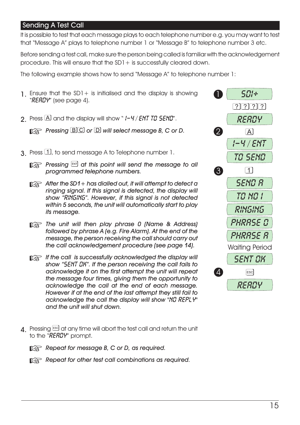#### Sending A Test Call

It is possible to test that each message plays to each telephone number e.g. you may want to test that "Message A" plays to telephone number 1 or "Message B" to telephone number 3 etc.

Before sending a test call, make sure the person being called is familiar with the acknowledgement procedure. This will ensure that the  $SD1 +$  is successfully cleared down.

The following example shows how to send "Message A" to telephone number 1:

![](_page_16_Figure_4.jpeg)

- 4. Pressing  $\boxed{\phantom{0}^{ES}}$  at any time will abort the test call and return the unit to the "READY" prompt.
	- + *Repeat for message B, C or D, as required.*
	- **Repeat for other test call combinations as required.**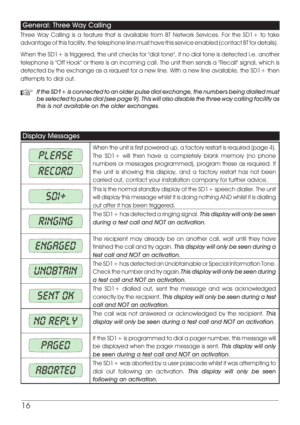#### General: Three Way Calling

Three Way Calling is a feature that is available from BT Network Services. For the SD1+ to take advantage of this facility, the telephone line must have this service enabled (contact BT for details).

When the SD1 + is triggered, the unit checks for "dial tone", if no dial tone is detected i.e. another telephone is "Off Hook" or there is an incoming call. The unit then sends a "Recall" signal, which is detected by the exchange as a request for a new line. With a new line available, the  $SD1 +$  then attempts to dial out.

+ *If the SD1+ is connected to an older pulse dial exchange, the numbers being dialled must be selected to pulse dial (see page 9). This will also disable the three way calling facility as this is not available on the older exchanges.*

| <b>Display Messages</b> |                                                                                                                                                                                                                                                                                                                                                             |
|-------------------------|-------------------------------------------------------------------------------------------------------------------------------------------------------------------------------------------------------------------------------------------------------------------------------------------------------------------------------------------------------------|
| PLEASE<br>RECORD        | When the unit is first powered up, a factory restart is required (page 4).<br>The $SD1+$ will then have a completely blank memory (no phone<br>numbers or messages programmed), program these as required. If<br>the unit is showing this display, and a factory restart has not been<br>carried out, contact your installation company for further advice. |
| 501+                    | This is the normal standby display of the $SD1 +$ speech dialler. The unit<br>will display this message whilst it is doing nothing AND whilst it is dialling<br>out after it has been triggered.                                                                                                                                                            |
| RINGING                 | The $SD1 +$ has detected a ringing signal. This display will only be seen<br>during a test call and NOT an activation.                                                                                                                                                                                                                                      |
| ENGAGED                 | The recipient may already be on another call, wait until they have<br>finished the call and try again. This display will only be seen during a<br>test call and NOT an activation.                                                                                                                                                                          |
| UNOBTAIN                | The SD1 + has detected an Unobtainable or Special Information Tone.<br>Check the number and try again. This display will only be seen during<br>a test call and NOT an activation.                                                                                                                                                                          |
| <i>SENT OK</i>          | The SD1+ dialled out, sent the message and was acknowledged<br>correctly by the recipient. This display will only be seen during a test<br>call and NOT an activation.                                                                                                                                                                                      |
| NO REPLY                | The call was not answered or acknowledged by the recipient. This<br>display will only be seen during a test call and NOT an activation.                                                                                                                                                                                                                     |
| PAGED                   | If the $SD1 +$ is programmed to dial a pager number, this message will<br>be displayed when the pager message is sent. This display will only<br>be seen during a test call and NOT an activation.                                                                                                                                                          |
| RBORTED                 | The $SD1 + was$ aborted by a user passcode whilst it was attempting to<br>dial out following an activation. This display will only be seen<br>following an activation.                                                                                                                                                                                      |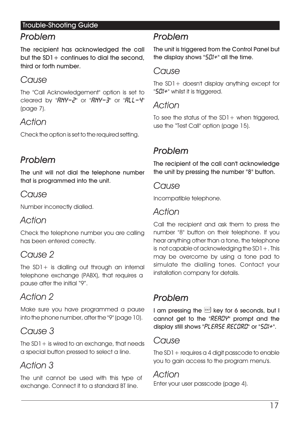#### Trouble-Shooting Guide

## *Problem*

The recipient has acknowledged the call but the  $SD1+$  continues to dial the second. third or forth number.

## *Cause*

The "Call Acknowledgement" option is set to cleared by " $R N Y - Z$ " or " $R N Y - Z$ " or " $R L L - Y$ " (page 7).

## *Action*

Check the option is set to the required setting.

## *Problem*

The unit will not dial the telephone number that is programmed into the unit.

## *Cause*

Number incorrectly dialled.

## *Action*

Check the telephone number you are calling has been entered correctly.

## *Cause 2*

The  $SD1+$  is dialling out through an internal telephone exchange (PABX), that requires a pause after the initial "9".

## *Action 2*

Make sure you have programmed a pause into the phone number, after the "9" (page 10).

## *Cause 3*

The  $SD1+$  is wired to an exchange, that needs a special button pressed to select a line.

## *Action 3*

The unit cannot be used with this type of exchange. Connect it to a standard BT line.

## *Problem*

The unit is triggered from the Control Panel but the display shows " $50$ !<sup>\*</sup>" all the time.

## *Cause*

The SD1+ doesn't display anything except for " $50$ /\*" whilst it is triggered.

## *Action*

To see the status of the  $SD1+$  when triggered, use the "Test Call" option (page 15).

## *Problem*

The recipient of the call can't acknowledge the unit by pressing the number "8" button.

### *Cause*

Incompatible telephone.

## *Action*

Call the recipient and ask them to press the number "8" button on their telephone. If you hear anything other than a tone, the telephone is not capable of acknowledging the  $SD1 +$ . This may be overcome by using a tone pad to simulate the dialling tones. Contact your installation company for details.

## *Problem*

I am pressing the  $[III]$  key for 6 seconds, but I cannot get to the " $RERIU$ " prompt and the display still shows "PLERSE RECORD" or "5DI+".

## *Cause*

The  $SD1 +$  requires a 4 digit passcode to enable you to gain access to the program menu's.

## *Action*

Enter your user passcode (page 4).